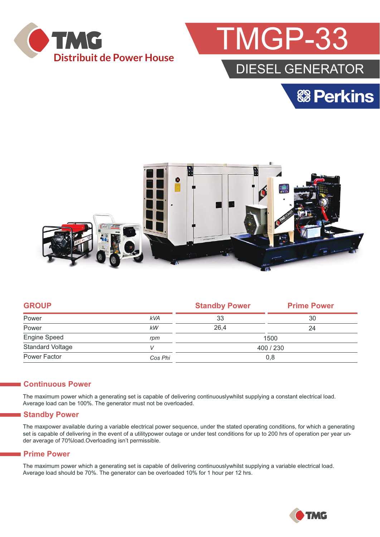



| <b>GROUP</b>            |            | <b>Standby Power</b> | <b>Prime Power</b> |  |
|-------------------------|------------|----------------------|--------------------|--|
| Power                   | <b>kVA</b> | 33                   | 30                 |  |
| Power                   | <b>kW</b>  | 26,4                 | 24                 |  |
| Engine Speed            | rpm        | 1500                 |                    |  |
| <b>Standard Voltage</b> | V          | 400 / 230            |                    |  |
| Power Factor            | Cos Phi    | 0,8                  |                    |  |
|                         |            |                      |                    |  |

#### **Continuous Power**

The maximum power which a generating set is capable of delivering continuouslywhilst supplying a constant electrical load. Average load can be 100%. The generator must not be overloaded.

#### **Standby Power**

The maxpower available during a variable electrical power sequence, under the stated operating conditions, for which a generating set is capable of delivering in the event of a utilitypower outage or under test conditions for up to 200 hrs of operation per year under average of 70%load.Overloading isn't permissible.

#### **Prime Power**

The maximum power which a generating set is capable of delivering continuouslywhilst supplying a variable electrical load. Average load should be 70%. The generator can be overloaded 10% for 1 hour per 12 hrs.



**& Perkins**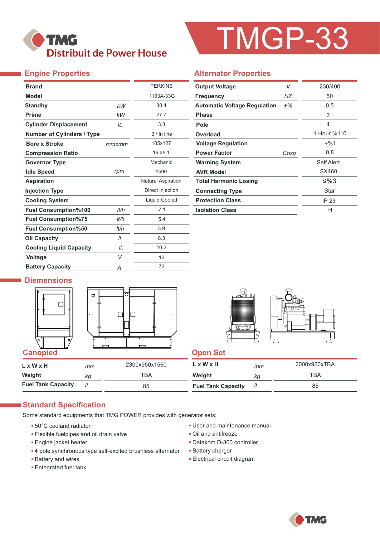## **TMG Distribuit de Power House**

# TMGP-33

### **Engine Properties**

| <b>Brand</b>                      |       | <b>PERKINS</b>            |
|-----------------------------------|-------|---------------------------|
| <b>Model</b>                      |       | 1103A-33G                 |
| <b>Standby</b>                    | kW    | 30.4                      |
| <b>Prime</b>                      | kW    | 27.7                      |
| <b>Cylinder Displacement</b>      | It.   | 3.3                       |
| <b>Number of Cylinders / Type</b> |       | $3/$ In line              |
| <b>Bore x Stroke</b>              | mmxmm | 105x127                   |
| <b>Compression Ratio</b>          |       | 19.25:1                   |
| <b>Governor Type</b>              |       | Mechanic                  |
| <b>Idle Speed</b>                 | rpm   | 1500                      |
| <b>Aspiration</b>                 |       | <b>Natural Aspiration</b> |
| <b>Injection Type</b>             |       | Direct Injection          |
| <b>Cooling System</b>             |       | Liquid Cooled             |
| <b>Fuel Consumption%100</b>       | lt/h  | 7.1                       |
| <b>Fuel Consumption%75</b>        | lt/h  | 5.4                       |
| <b>Fuel Consumption%50</b>        | lt/h  | 3.9                       |
| <b>Oil Capacity</b>               | It.   | 8.3                       |
| <b>Cooling Liquid Capacity</b>    | It.   | 10.2                      |
| <b>Voltage</b>                    | V     | 12                        |
| <b>Battery Capacity</b>           | Α     | 72                        |

#### **Alternator Properties**

| <b>Output Voltage</b>               | V     | 230/400     |  |
|-------------------------------------|-------|-------------|--|
| <b>Frequency</b>                    | НZ    | 50          |  |
| <b>Automatic Voltage Regulation</b> | $±\%$ | 0,5         |  |
| <b>Phase</b>                        |       | 3           |  |
| Pole                                |       | 4           |  |
| Overload                            |       | 1 Hour %110 |  |
| <b>Voltage Regulation</b>           |       | ±%1         |  |
| <b>Power Factor</b>                 | Cosa  | 0,8         |  |
| <b>Warning System</b>               |       | Self Alert  |  |
| <b>AVR Model</b>                    |       | SX460       |  |
| <b>Total Harmonic Losing</b>        |       | ≤%3         |  |
| <b>Connecting Type</b>              |       | Star        |  |
| <b>Protection Class</b>             |       | IP 23       |  |
| <b>Isolation Class</b>              |       | н           |  |

#### **Diemensions**







| $L \times W \times H$     | mm | 2300x950x1560 | LxWxH                     | mm  | 2000x950xTBA |
|---------------------------|----|---------------|---------------------------|-----|--------------|
| Weight                    | kq | тва           | Weight                    | ΚG  | TBA          |
| <b>Fuel Tank Capacity</b> |    | 85            | <b>Fuel Tank Capacity</b> | It. | 85           |

#### **Standard Specification**

Some standard equipments that TMG POWER provides with generator sets;

- 50°C cooland radiator
- Flexible fuelpipes and oil drain valve
- Engine jacket heater
- 4 pole synchronous type self-excited brushless alternator
- Battery and wires
- Entegrated fuel tank
- User and maintenance manual
- Oil and antifreeze
- Datakom D-300 controller
- Battery charger
- Electrical circuit diagram